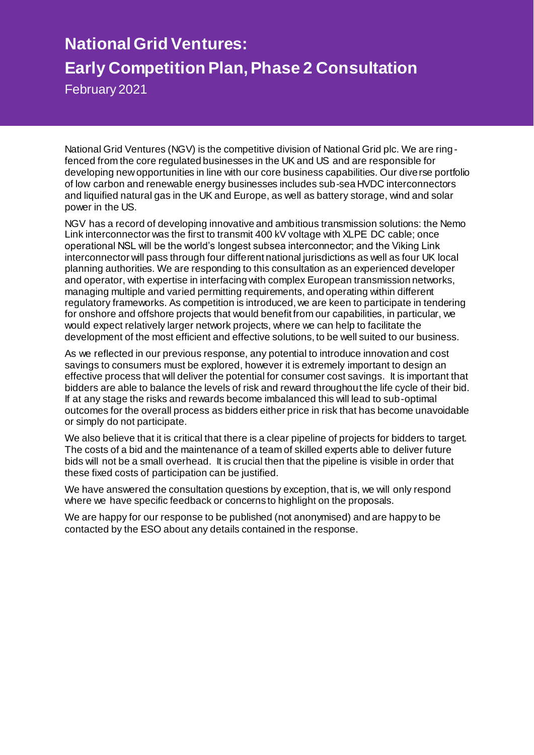# **National Grid Ventures: Early Competition Plan, Phase 2 Consultation**

February 2021

National Grid Ventures (NGV) is the competitive division of National Grid plc. We are ringfenced from the core regulated businesses in the UK and US and are responsible for developing new opportunities in line with our core business capabilities. Our diverse portfolio of low carbon and renewable energy businesses includes sub-sea HVDC interconnectors and liquified natural gas in the UK and Europe, as well as battery storage, wind and solar power in the US.

NGV has a record of developing innovative and ambitious transmission solutions: the Nemo Link interconnector was the first to transmit 400 kV voltage with XLPE DC cable; once operational NSL will be the world's longest subsea interconnector; and the Viking Link interconnector will pass through four different national jurisdictions as well as four UK local planning authorities. We are responding to this consultation as an experienced developer and operator, with expertise in interfacing with complex European transmission networks, managing multiple and varied permitting requirements, and operating within different regulatory frameworks. As competition is introduced, we are keen to participate in tendering for onshore and offshore projects that would benefit from our capabilities, in particular, we would expect relatively larger network projects, where we can help to facilitate the development of the most efficient and effective solutions, to be well suited to our business.

As we reflected in our previous response, any potential to introduce innovation and cost savings to consumers must be explored, however it is extremely important to design an effective process that will deliver the potential for consumer cost savings. It is important that bidders are able to balance the levels of risk and reward throughout the life cycle of their bid. If at any stage the risks and rewards become imbalanced this will lead to sub-optimal outcomes for the overall process as bidders either price in risk that has become unavoidable or simply do not participate.

We also believe that it is critical that there is a clear pipeline of projects for bidders to target. The costs of a bid and the maintenance of a team of skilled experts able to deliver future bids will not be a small overhead. It is crucial then that the pipeline is visible in order that these fixed costs of participation can be justified.

We have answered the consultation questions by exception, that is, we will only respond where we have specific feedback or concerns to highlight on the proposals.

We are happy for our response to be published (not anonymised) and are happy to be contacted by the ESO about any details contained in the response.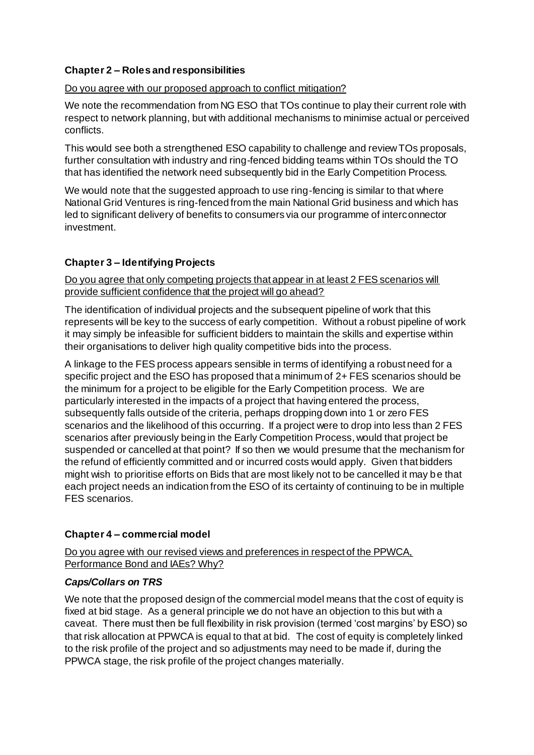# **Chapter 2 – Roles and responsibilities**

## Do you agree with our proposed approach to conflict mitigation?

We note the recommendation from NG ESO that TOs continue to play their current role with respect to network planning, but with additional mechanisms to minimise actual or perceived conflicts.

This would see both a strengthened ESO capability to challenge and review TOs proposals, further consultation with industry and ring-fenced bidding teams within TOs should the TO that has identified the network need subsequently bid in the Early Competition Process.

We would note that the suggested approach to use ring-fencing is similar to that where National Grid Ventures is ring-fenced from the main National Grid business and which has led to significant delivery of benefits to consumers via our programme of interconnector investment.

# **Chapter 3 – Identifying Projects**

Do you agree that only competing projects that appear in at least 2 FES scenarios will provide sufficient confidence that the project will go ahead?

The identification of individual projects and the subsequent pipeline of work that this represents will be key to the success of early competition. Without a robust pipeline of work it may simply be infeasible for sufficient bidders to maintain the skills and expertise within their organisations to deliver high quality competitive bids into the process.

A linkage to the FES process appears sensible in terms of identifying a robust need for a specific project and the ESO has proposed that a minimum of 2+ FES scenarios should be the minimum for a project to be eligible for the Early Competition process. We are particularly interested in the impacts of a project that having entered the process, subsequently falls outside of the criteria, perhaps dropping down into 1 or zero FES scenarios and the likelihood of this occurring. If a project were to drop into less than 2 FES scenarios after previously being in the Early Competition Process, would that project be suspended or cancelled at that point? If so then we would presume that the mechanism for the refund of efficiently committed and or incurred costs would apply. Given that bidders might wish to prioritise efforts on Bids that are most likely not to be cancelled it may be that each project needs an indication from the ESO of its certainty of continuing to be in multiple FES scenarios.

#### **Chapter 4 – commercial model**

Do you agree with our revised views and preferences in respect of the PPWCA, Performance Bond and IAEs? Why?

#### *Caps/Collars on TRS*

We note that the proposed design of the commercial model means that the cost of equity is fixed at bid stage. As a general principle we do not have an objection to this but with a caveat. There must then be full flexibility in risk provision (termed 'cost margins' by ESO) so that risk allocation at PPWCA is equal to that at bid. The cost of equity is completely linked to the risk profile of the project and so adjustments may need to be made if, during the PPWCA stage, the risk profile of the project changes materially.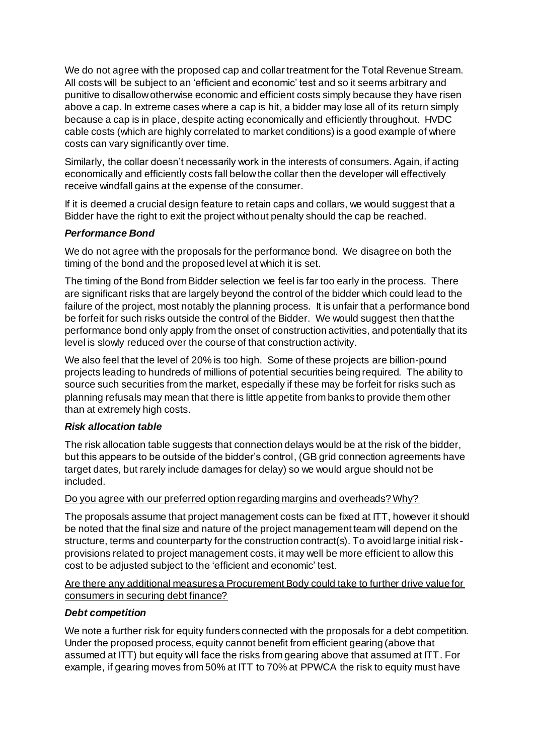We do not agree with the proposed cap and collar treatment for the Total Revenue Stream. All costs will be subject to an 'efficient and economic' test and so it seems arbitrary and punitive to disallow otherwise economic and efficient costs simply because they have risen above a cap. In extreme cases where a cap is hit, a bidder may lose all of its return simply because a cap is in place, despite acting economically and efficiently throughout. HVDC cable costs (which are highly correlated to market conditions) is a good example of where costs can vary significantly over time.

Similarly, the collar doesn't necessarily work in the interests of consumers. Again, if acting economically and efficiently costs fall below the collar then the developer will effectively receive windfall gains at the expense of the consumer.

If it is deemed a crucial design feature to retain caps and collars, we would suggest that a Bidder have the right to exit the project without penalty should the cap be reached.

# *Performance Bond*

We do not agree with the proposals for the performance bond. We disagree on both the timing of the bond and the proposed level at which it is set.

The timing of the Bond from Bidder selection we feel is far too early in the process. There are significant risks that are largely beyond the control of the bidder which could lead to the failure of the project, most notably the planning process. It is unfair that a performance bond be forfeit for such risks outside the control of the Bidder. We would suggest then that the performance bond only apply from the onset of construction activities, and potentially that its level is slowly reduced over the course of that construction activity.

We also feel that the level of 20% is too high. Some of these projects are billion-pound projects leading to hundreds of millions of potential securities being required. The ability to source such securities from the market, especially if these may be forfeit for risks such as planning refusals may mean that there is little appetite from banks to provide them other than at extremely high costs.

#### *Risk allocation table*

The risk allocation table suggests that connection delays would be at the risk of the bidder, but this appears to be outside of the bidder's control, (GB grid connection agreements have target dates, but rarely include damages for delay) so we would argue should not be included.

#### Do you agree with our preferred option regarding margins and overheads? Why?

The proposals assume that project management costs can be fixed at ITT, however it should be noted that the final size and nature of the project management team will depend on the structure, terms and counterparty for the construction contract(s). To avoid large initial riskprovisions related to project management costs, it may well be more efficient to allow this cost to be adjusted subject to the 'efficient and economic' test.

Are there any additional measures a Procurement Body could take to further drive value for consumers in securing debt finance?

#### *Debt competition*

We note a further risk for equity funders connected with the proposals for a debt competition. Under the proposed process, equity cannot benefit from efficient gearing (above that assumed at ITT) but equity will face the risks from gearing above that assumed at ITT. For example, if gearing moves from 50% at ITT to 70% at PPWCA the risk to equity must have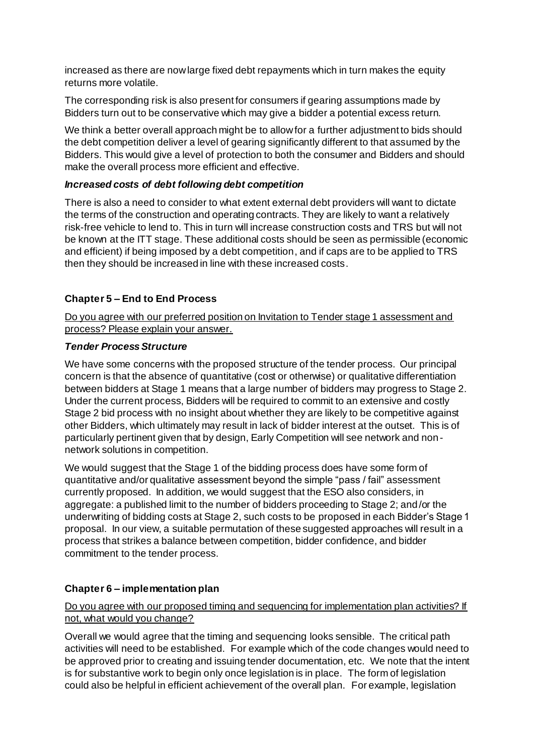increased as there are now large fixed debt repayments which in turn makes the equity returns more volatile.

The corresponding risk is also present for consumers if gearing assumptions made by Bidders turn out to be conservative which may give a bidder a potential excess return.

We think a better overall approach might be to allow for a further adjustment to bids should the debt competition deliver a level of gearing significantly different to that assumed by the Bidders. This would give a level of protection to both the consumer and Bidders and should make the overall process more efficient and effective.

#### *Increased costs of debt following debt competition*

There is also a need to consider to what extent external debt providers will want to dictate the terms of the construction and operating contracts. They are likely to want a relatively risk-free vehicle to lend to. This in turn will increase construction costs and TRS but will not be known at the ITT stage. These additional costs should be seen as permissible (economic and efficient) if being imposed by a debt competition, and if caps are to be applied to TRS then they should be increased in line with these increased costs.

## **Chapter 5 – End to End Process**

Do you agree with our preferred position on Invitation to Tender stage 1 assessment and process? Please explain your answer.

#### *Tender Process Structure*

We have some concerns with the proposed structure of the tender process. Our principal concern is that the absence of quantitative (cost or otherwise) or qualitative differentiation between bidders at Stage 1 means that a large number of bidders may progress to Stage 2. Under the current process, Bidders will be required to commit to an extensive and costly Stage 2 bid process with no insight about whether they are likely to be competitive against other Bidders, which ultimately may result in lack of bidder interest at the outset. This is of particularly pertinent given that by design, Early Competition will see network and nonnetwork solutions in competition.

We would suggest that the Stage 1 of the bidding process does have some form of quantitative and/or qualitative assessment beyond the simple "pass / fail" assessment currently proposed. In addition, we would suggest that the ESO also considers, in aggregate: a published limit to the number of bidders proceeding to Stage 2; and/or the underwriting of bidding costs at Stage 2, such costs to be proposed in each Bidder's Stage 1 proposal. In our view, a suitable permutation of these suggested approaches will result in a process that strikes a balance between competition, bidder confidence, and bidder commitment to the tender process.

#### **Chapter 6 – implementation plan**

## Do you agree with our proposed timing and sequencing for implementation plan activities? If not, what would you change?

Overall we would agree that the timing and sequencing looks sensible. The critical path activities will need to be established. For example which of the code changes would need to be approved prior to creating and issuing tender documentation, etc. We note that the intent is for substantive work to begin only once legislation is in place. The form of legislation could also be helpful in efficient achievement of the overall plan. For example, legislation